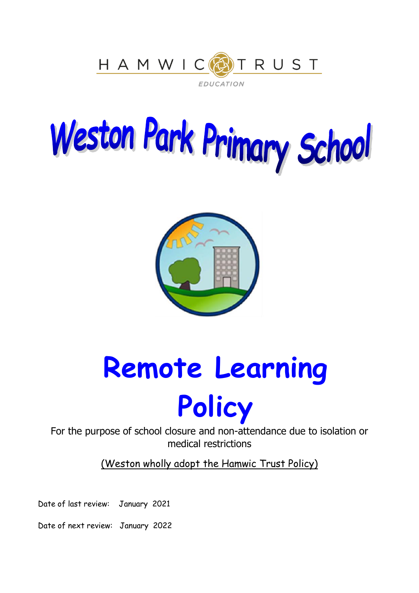

# Weston Park Primary School



**Remote Learning** 

## **Policy**

For the purpose of school closure and non-attendance due to isolation or medical restrictions

(Weston wholly adopt the Hamwic Trust Policy)

Date of last review: January 2021

Date of next review: January 2022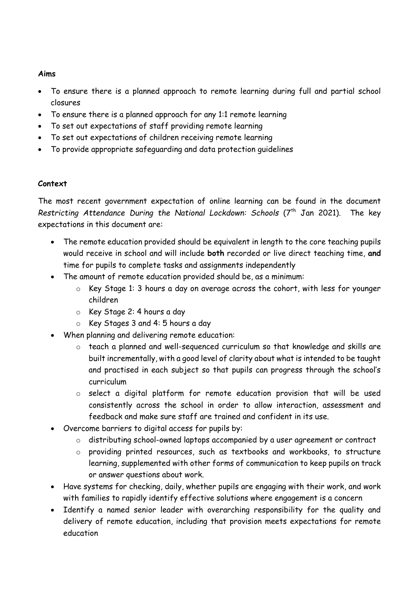#### **Aims**

- To ensure there is a planned approach to remote learning during full and partial school closures
- To ensure there is a planned approach for any 1:1 remote learning
- To set out expectations of staff providing remote learning
- To set out expectations of children receiving remote learning
- To provide appropriate safeguarding and data protection guidelines

#### **Context**

The most recent government expectation of online learning can be found in the document *Restricting Attendance During the National Lockdown: Schools* (7<sup>th</sup> Jan 2021). The key expectations in this document are:

- The remote education provided should be equivalent in length to the core teaching pupils would receive in school and will include **both** recorded or live direct teaching time, **and** time for pupils to complete tasks and assignments independently
- The amount of remote education provided should be, as a minimum:
	- o Key Stage 1: 3 hours a day on average across the cohort, with less for younger children
	- o Key Stage 2: 4 hours a day
	- o Key Stages 3 and 4: 5 hours a day
- When planning and delivering remote education:
	- o teach a planned and well-sequenced curriculum so that knowledge and skills are built incrementally, with a good level of clarity about what is intended to be taught and practised in each subject so that pupils can progress through the school's curriculum
	- o select a digital platform for remote education provision that will be used consistently across the school in order to allow interaction, assessment and feedback and make sure staff are trained and confident in its use.
- Overcome barriers to digital access for pupils by:
	- o distributing school-owned laptops accompanied by a user agreement or contract
	- o providing printed resources, such as textbooks and workbooks, to structure learning, supplemented with other forms of communication to keep pupils on track or answer questions about work.
- Have systems for checking, daily, whether pupils are engaging with their work, and work with families to rapidly identify effective solutions where engagement is a concern
- Identify a named senior leader with overarching responsibility for the quality and delivery of remote education, including that provision meets expectations for remote education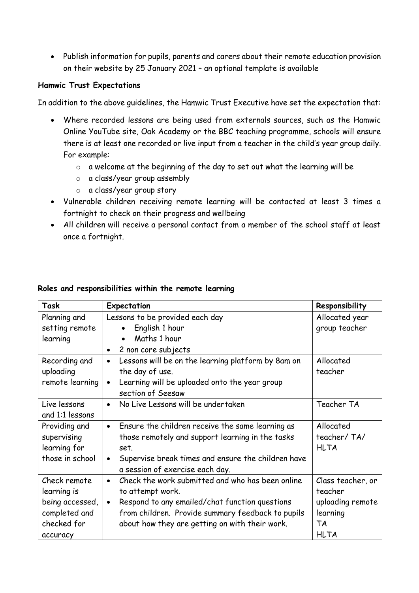Publish information for pupils, parents and carers about their remote education provision on their website by 25 January 2021 – an optional template is available

#### **Hamwic Trust Expectations**

In addition to the above guidelines, the Hamwic Trust Executive have set the expectation that:

- Where recorded lessons are being used from externals sources, such as the Hamwic Online YouTube site, Oak Academy or the BBC teaching programme, schools will ensure there is at least one recorded or live input from a teacher in the child's year group daily. For example:
	- o a welcome at the beginning of the day to set out what the learning will be
	- o a class/year group assembly
	- o a class/year group story
- Vulnerable children receiving remote learning will be contacted at least 3 times a fortnight to check on their progress and wellbeing
- All children will receive a personal contact from a member of the school staff at least once a fortnight.

| Task            | Expectation                                                     | Responsibility    |
|-----------------|-----------------------------------------------------------------|-------------------|
| Planning and    | Lessons to be provided each day                                 | Allocated year    |
| setting remote  | English 1 hour<br>$\bullet$                                     | group teacher     |
| learning        | Maths 1 hour<br>$\bullet$                                       |                   |
|                 | 2 non core subjects<br>$\bullet$                                |                   |
| Recording and   | Lessons will be on the learning platform by 8am on<br>$\bullet$ | Allocated         |
| uploading       | the day of use.                                                 | teacher           |
| remote learning | Learning will be uploaded onto the year group<br>$\bullet$      |                   |
|                 | section of Seesaw                                               |                   |
| Live lessons    | No Live Lessons will be undertaken<br>$\bullet$                 | Teacher TA        |
| and 1:1 lessons |                                                                 |                   |
| Providing and   | Ensure the children receive the same learning as<br>$\bullet$   | Allocated         |
| supervising     | those remotely and support learning in the tasks                | teacher/TA/       |
| learning for    | set.                                                            | <b>HLTA</b>       |
| those in school | Supervise break times and ensure the children have<br>$\bullet$ |                   |
|                 | a session of exercise each day.                                 |                   |
| Check remote    | Check the work submitted and who has been online<br>$\bullet$   | Class teacher, or |
| learning is     | to attempt work.                                                | teacher           |
| being accessed, | Respond to any emailed/chat function questions<br>$\bullet$     | uploading remote  |
| completed and   | from children. Provide summary feedback to pupils               | learning          |
| checked for     | about how they are getting on with their work.                  | <b>TA</b>         |
| accuracy        |                                                                 | <b>HLTA</b>       |

#### **Roles and responsibilities within the remote learning**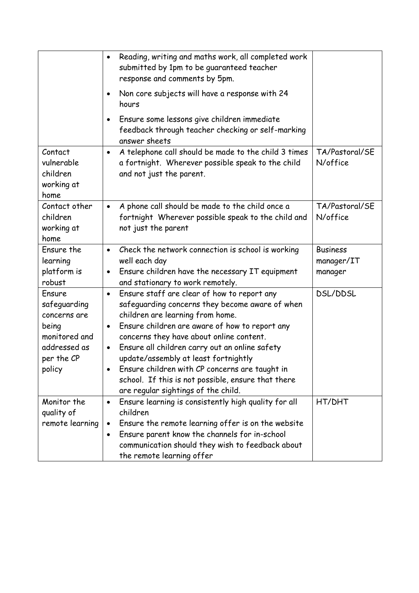|                                                                                                          | Reading, writing and maths work, all completed work<br>$\bullet$<br>submitted by 1pm to be guaranteed teacher<br>response and comments by 5pm.                                                                                                                                                                                                                                                                                                                                                                   |                                          |
|----------------------------------------------------------------------------------------------------------|------------------------------------------------------------------------------------------------------------------------------------------------------------------------------------------------------------------------------------------------------------------------------------------------------------------------------------------------------------------------------------------------------------------------------------------------------------------------------------------------------------------|------------------------------------------|
|                                                                                                          | Non core subjects will have a response with 24<br>٠<br>hours                                                                                                                                                                                                                                                                                                                                                                                                                                                     |                                          |
|                                                                                                          | Ensure some lessons give children immediate<br>$\bullet$<br>feedback through teacher checking or self-marking<br>answer sheets                                                                                                                                                                                                                                                                                                                                                                                   |                                          |
| Contact<br>vulnerable<br>children<br>working at<br>home                                                  | A telephone call should be made to the child 3 times<br>$\bullet$<br>a fortnight. Wherever possible speak to the child<br>and not just the parent.                                                                                                                                                                                                                                                                                                                                                               | TA/Pastoral/SE<br>N/office               |
| Contact other<br>children<br>working at<br>home                                                          | A phone call should be made to the child once a<br>$\bullet$<br>fortnight Wherever possible speak to the child and<br>not just the parent                                                                                                                                                                                                                                                                                                                                                                        | TA/Pastoral/SE<br>N/office               |
| Ensure the<br>learning<br>platform is<br>robust                                                          | Check the network connection is school is working<br>$\bullet$<br>well each day<br>Ensure children have the necessary IT equipment<br>$\bullet$<br>and stationary to work remotely.                                                                                                                                                                                                                                                                                                                              | <b>Business</b><br>manager/IT<br>manager |
| Ensure<br>safeguarding<br>concerns are<br>being<br>monitored and<br>addressed as<br>per the CP<br>policy | Ensure staff are clear of how to report any<br>$\bullet$<br>safeguarding concerns they become aware of when<br>children are learning from home.<br>Ensure children are aware of how to report any<br>$\bullet$<br>concerns they have about online content.<br>Ensure all children carry out an online safety<br>$\bullet$<br>update/assembly at least fortnightly<br>Ensure children with CP concerns are taught in<br>school. If this is not possible, ensure that there<br>are regular sightings of the child. | DSL/DDSL                                 |
| Monitor the<br>quality of<br>remote learning                                                             | Ensure learning is consistently high quality for all<br>$\bullet$<br>children<br>Ensure the remote learning offer is on the website<br>Ensure parent know the channels for in-school<br>٠<br>communication should they wish to feedback about<br>the remote learning offer                                                                                                                                                                                                                                       | HT/DHT                                   |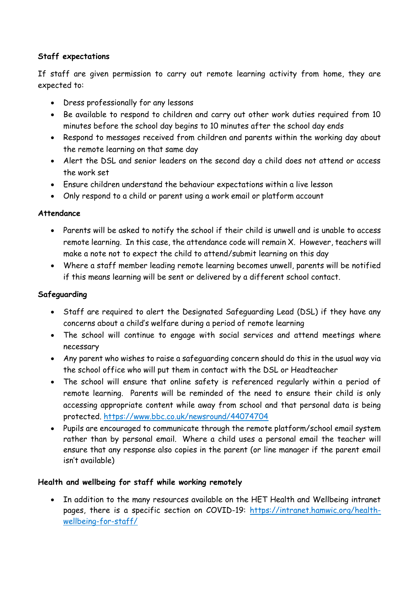#### **Staff expectations**

If staff are given permission to carry out remote learning activity from home, they are expected to:

- Dress professionally for any lessons
- Be available to respond to children and carry out other work duties required from 10 minutes before the school day begins to 10 minutes after the school day ends
- Respond to messages received from children and parents within the working day about the remote learning on that same day
- Alert the DSL and senior leaders on the second day a child does not attend or access the work set
- Ensure children understand the behaviour expectations within a live lesson
- Only respond to a child or parent using a work email or platform account

#### **Attendance**

- Parents will be asked to notify the school if their child is unwell and is unable to access remote learning. In this case, the attendance code will remain X. However, teachers will make a note not to expect the child to attend/submit learning on this day
- Where a staff member leading remote learning becomes unwell, parents will be notified if this means learning will be sent or delivered by a different school contact.

#### **Safeguarding**

- Staff are required to alert the Designated Safeguarding Lead (DSL) if they have any concerns about a child's welfare during a period of remote learning
- The school will continue to engage with social services and attend meetings where necessary
- Any parent who wishes to raise a safeguarding concern should do this in the usual way via the school office who will put them in contact with the DSL or Headteacher
- The school will ensure that online safety is referenced regularly within a period of remote learning. Parents will be reminded of the need to ensure their child is only accessing appropriate content while away from school and that personal data is being protected. <https://www.bbc.co.uk/newsround/44074704>
- Pupils are encouraged to communicate through the remote platform/school email system rather than by personal email. Where a child uses a personal email the teacher will ensure that any response also copies in the parent (or line manager if the parent email isn't available)

#### **Health and wellbeing for staff while working remotely**

 In addition to the many resources available on the HET Health and Wellbeing intranet pages, there is a specific section on COVID-19: [https://intranet.hamwic.org/health](https://intranet.hamwic.org/health-wellbeing-for-staff/)[wellbeing-for-staff/](https://intranet.hamwic.org/health-wellbeing-for-staff/)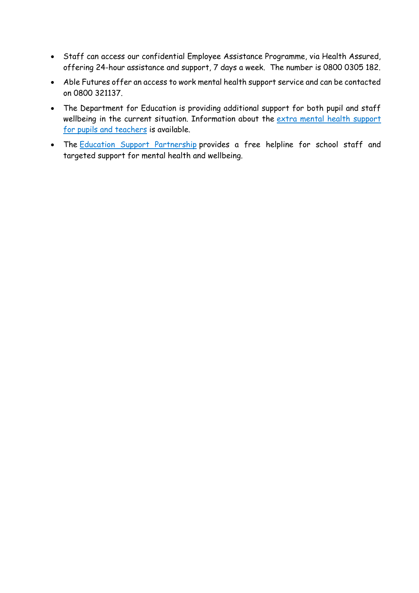- Staff can access our confidential Employee Assistance Programme, via Health Assured, offering 24-hour assistance and support, 7 days a week. The number is 0800 0305 182.
- Able Futures offer an access to work mental health support service and can be contacted on 0800 321137.
- The Department for Education is providing additional support for both pupil and staff wellbeing in the current situation. Information about the extra mental health [support](https://www.gov.uk/government/news/extra-mental-health-support-for-pupils-and-teachers) for pupils and [teachers](https://www.gov.uk/government/news/extra-mental-health-support-for-pupils-and-teachers) is available.
- The Education Support [Partnership](http://www.educationsupport.org.uk/) provides a free helpline for school staff and targeted support for mental health and wellbeing.